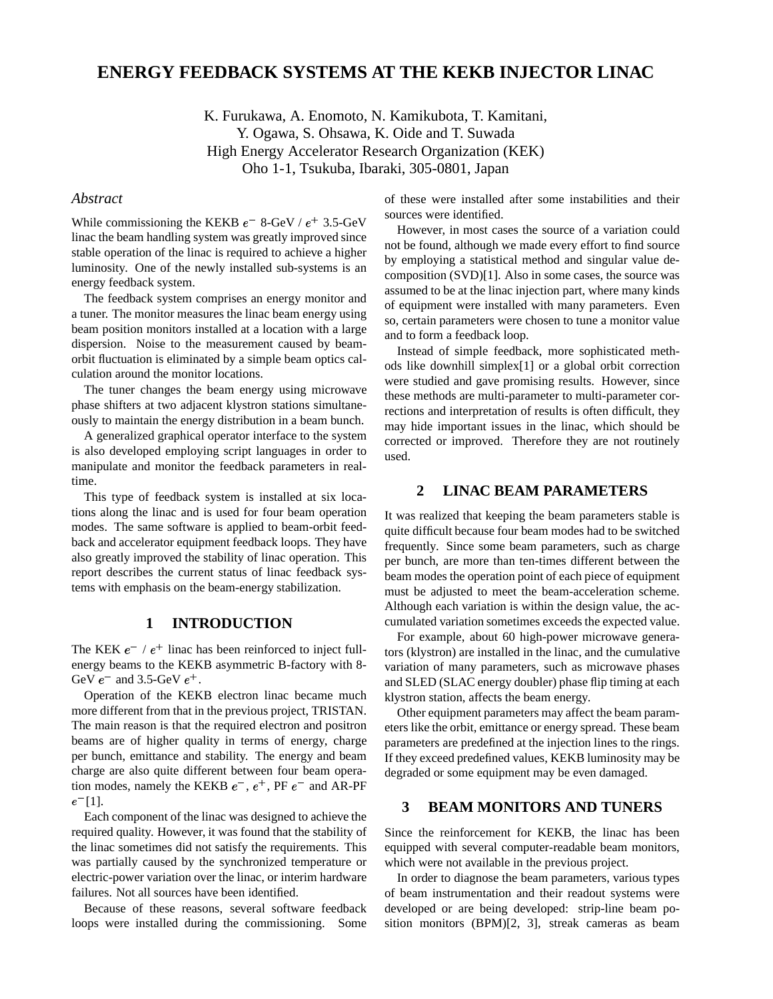# **ENERGY FEEDBACK SYSTEMS AT THE KEKB INJECTOR LINAC**

K. Furukawa, A. Enomoto, N. Kamikubota, T. Kamitani, Y. Ogawa, S. Ohsawa, K. Oide and T. Suwada High Energy Accelerator Research Organization (KEK) Oho 1-1, Tsukuba, Ibaraki, 305-0801, Japan

## *Abstract*

While commissioning the KEKB  $e^-$  8-GeV /  $e^+$  3.5-GeV linac the beam handling system was greatly improved since stable operation of the linac is required to achieve a higher luminosity. One of the newly installed sub-systems is an energy feedback system.

The feedback system comprises an energy monitor and a tuner. The monitor measures the linac beam energy using beam position monitors installed at a location with a large dispersion. Noise to the measurement caused by beamorbit fluctuation is eliminated by a simple beam optics calculation around the monitor locations.

The tuner changes the beam energy using microwave phase shifters at two adjacent klystron stations simultaneously to maintain the energy distribution in a beam bunch.

A generalized graphical operator interface to the system is also developed employing script languages in order to manipulate and monitor the feedback parameters in realtime.

This type of feedback system is installed at six locations along the linac and is used for four beam operation modes. The same software is applied to beam-orbit feedback and accelerator equipment feedback loops. They have also greatly improved the stability of linac operation. This report describes the current status of linac feedback systems with emphasis on the beam-energy stabilization.

## **1 INTRODUCTION**

The KEK  $e^-$  /  $e^+$  linac has been reinforced to inject fullenergy beams to the KEKB asymmetric B-factory with 8- GeV  $e^-$  and 3.5-GeV  $e^+$ .

Operation of the KEKB electron linac became much more different from that in the previous project, TRISTAN. The main reason is that the required electron and positron beams are of higher quality in terms of energy, charge per bunch, emittance and stability. The energy and beam charge are also quite different between four beam operation modes, namely the KEKB  $e^-$ ,  $e^+$ , PF  $e^-$  and AR-PF  $e^{-}[1]$ .

Each component of the linac was designed to achieve the required quality. However, it was found that the stability of the linac sometimes did not satisfy the requirements. This was partially caused by the synchronized temperature or electric-power variation over the linac, or interim hardware failures. Not all sources have been identified.

Because of these reasons, several software feedback loops were installed during the commissioning. Some of these were installed after some instabilities and their sources were identified.

However, in most cases the source of a variation could not be found, although we made every effort to find source by employing a statistical method and singular value decomposition (SVD)[1]. Also in some cases, the source was assumed to be at the linac injection part, where many kinds of equipment were installed with many parameters. Even so, certain parameters were chosen to tune a monitor value and to form a feedback loop.

Instead of simple feedback, more sophisticated methods like downhill simplex[1] or a global orbit correction were studied and gave promising results. However, since these methods are multi-parameter to multi-parameter corrections and interpretation of results is often difficult, they may hide important issues in the linac, which should be corrected or improved. Therefore they are not routinely used.

#### **2 LINAC BEAM PARAMETERS**

It was realized that keeping the beam parameters stable is quite difficult because four beam modes had to be switched frequently. Since some beam parameters, such as charge per bunch, are more than ten-times different between the beam modes the operation point of each piece of equipment must be adjusted to meet the beam-acceleration scheme. Although each variation is within the design value, the accumulated variation sometimes exceeds the expected value.

For example, about 60 high-power microwave generators (klystron) are installed in the linac, and the cumulative variation of many parameters, such as microwave phases and SLED (SLAC energy doubler) phase flip timing at each klystron station, affects the beam energy.

Other equipment parameters may affect the beam parameters like the orbit, emittance or energy spread. These beam parameters are predefined at the injection lines to the rings. If they exceed predefined values, KEKB luminosity may be degraded or some equipment may be even damaged.

# **3 BEAM MONITORS AND TUNERS**

Since the reinforcement for KEKB, the linac has been equipped with several computer-readable beam monitors, which were not available in the previous project.

In order to diagnose the beam parameters, various types of beam instrumentation and their readout systems were developed or are being developed: strip-line beam position monitors (BPM)[2, 3], streak cameras as beam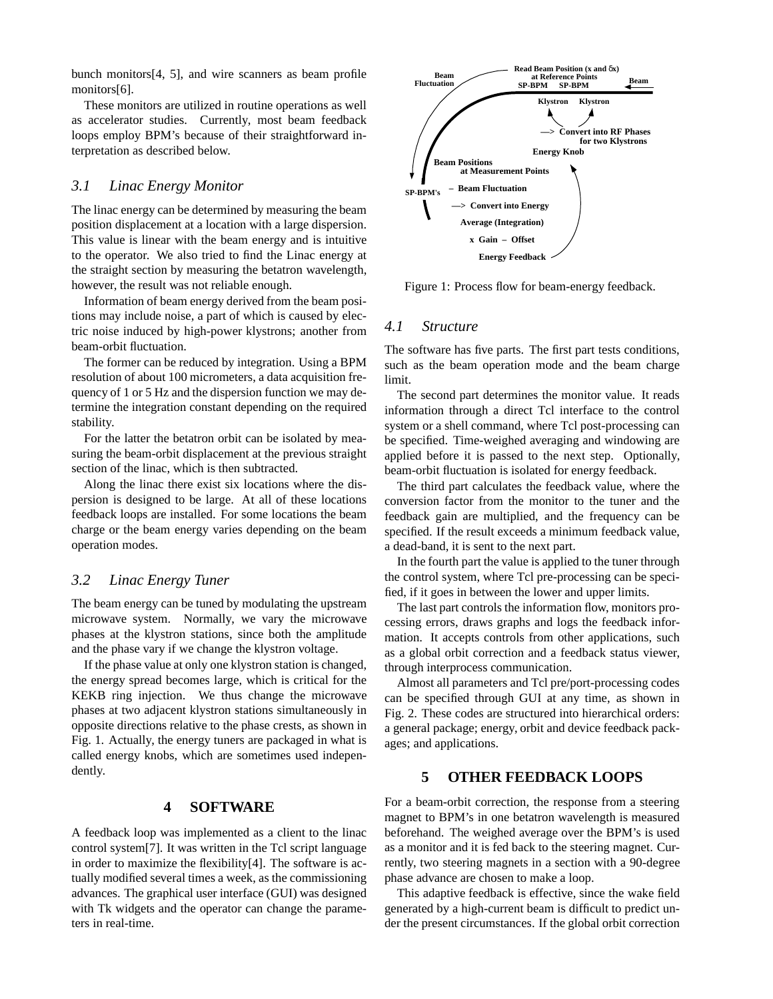bunch monitors[4, 5], and wire scanners as beam profile monitors[6].

These monitors are utilized in routine operations as well as accelerator studies. Currently, most beam feedback loops employ BPM's because of their straightforward interpretation as described below.

#### *3.1 Linac Energy Monitor*

The linac energy can be determined by measuring the beam position displacement at a location with a large dispersion. This value is linear with the beam energy and is intuitive to the operator. We also tried to find the Linac energy at the straight section by measuring the betatron wavelength, however, the result was not reliable enough.

Information of beam energy derived from the beam positions may include noise, a part of which is caused by electric noise induced by high-power klystrons; another from beam-orbit fluctuation.

The former can be reduced by integration. Using a BPM resolution of about 100 micrometers, a data acquisition frequency of 1 or 5 Hz and the dispersion function we may determine the integration constant depending on the required stability.

For the latter the betatron orbit can be isolated by measuring the beam-orbit displacement at the previous straight section of the linac, which is then subtracted.

Along the linac there exist six locations where the dispersion is designed to be large. At all of these locations feedback loops are installed. For some locations the beam charge or the beam energy varies depending on the beam operation modes.

#### *3.2 Linac Energy Tuner*

The beam energy can be tuned by modulating the upstream microwave system. Normally, we vary the microwave phases at the klystron stations, since both the amplitude and the phase vary if we change the klystron voltage.

If the phase value at only one klystron station is changed, the energy spread becomes large, which is critical for the KEKB ring injection. We thus change the microwave phases at two adjacent klystron stations simultaneously in opposite directions relative to the phase crests, as shown in Fig. 1. Actually, the energy tuners are packaged in what is called energy knobs, which are sometimes used independently.

## **4 SOFTWARE**

A feedback loop was implemented as a client to the linac control system[7]. It was written in the Tcl script language in order to maximize the flexibility[4]. The software is actually modified several times a week, as the commissioning advances. The graphical user interface (GUI) was designed with Tk widgets and the operator can change the parameters in real-time.



Figure 1: Process flow for beam-energy feedback.

## *4.1 Structure*

The software has five parts. The first part tests conditions, such as the beam operation mode and the beam charge limit.

The second part determines the monitor value. It reads information through a direct Tcl interface to the control system or a shell command, where Tcl post-processing can be specified. Time-weighed averaging and windowing are applied before it is passed to the next step. Optionally, beam-orbit fluctuation is isolated for energy feedback.

The third part calculates the feedback value, where the conversion factor from the monitor to the tuner and the feedback gain are multiplied, and the frequency can be specified. If the result exceeds a minimum feedback value, a dead-band, it is sent to the next part.

In the fourth part the value is applied to the tuner through the control system, where Tcl pre-processing can be specified, if it goes in between the lower and upper limits.

The last part controls the information flow, monitors processing errors, draws graphs and logs the feedback information. It accepts controls from other applications, such as a global orbit correction and a feedback status viewer, through interprocess communication.

Almost all parameters and Tcl pre/port-processing codes can be specified through GUI at any time, as shown in Fig. 2. These codes are structured into hierarchical orders: a general package; energy, orbit and device feedback packages; and applications.

# **5 OTHER FEEDBACK LOOPS**

For a beam-orbit correction, the response from a steering magnet to BPM's in one betatron wavelength is measured beforehand. The weighed average over the BPM's is used as a monitor and it is fed back to the steering magnet. Currently, two steering magnets in a section with a 90-degree phase advance are chosen to make a loop.

This adaptive feedback is effective, since the wake field generated by a high-current beam is difficult to predict under the present circumstances. If the global orbit correction